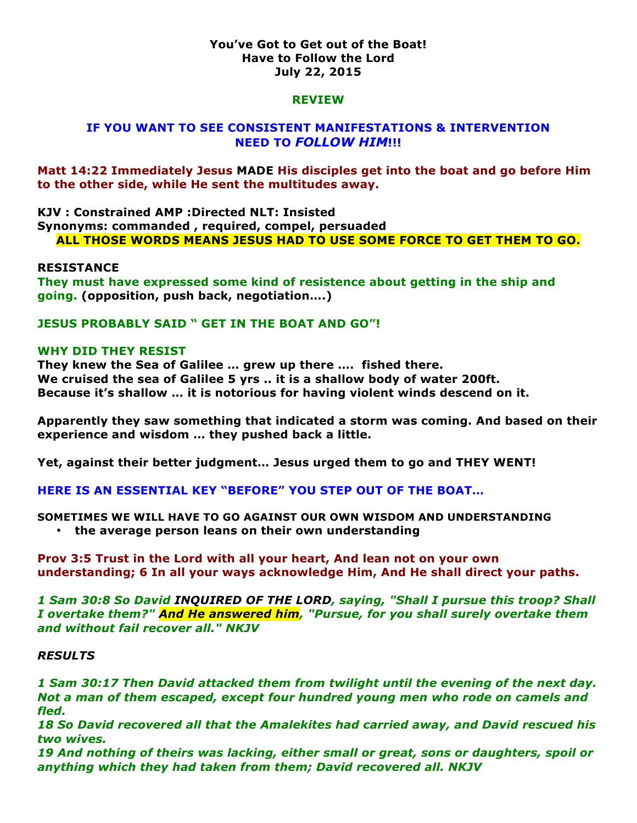### **You've Got to Get out of the Boat! Have to Follow the Lord July 22, 2015**

#### **REVIEW**

# **IF YOU WANT TO SEE CONSISTENT MANIFESTATIONS & INTERVENTION NEED TO** *FOLLOW HIM***!!!**

**Matt 14:22 Immediately Jesus MADE His disciples get into the boat and go before Him to the other side, while He sent the multitudes away.** 

**KJV : Constrained AMP :Directed NLT: Insisted Synonyms: commanded , required, compel, persuaded ALL THOSE WORDS MEANS JESUS HAD TO USE SOME FORCE TO GET THEM TO GO.**

#### **RESISTANCE**

**They must have expressed some kind of resistence about getting in the ship and going. (opposition, push back, negotiation….)**

**JESUS PROBABLY SAID " GET IN THE BOAT AND GO"!**

#### **WHY DID THEY RESIST**

**They knew the Sea of Galilee … grew up there …. fished there. We cruised the sea of Galilee 5 yrs .. it is a shallow body of water 200ft. Because it's shallow … it is notorious for having violent winds descend on it.**

**Apparently they saw something that indicated a storm was coming. And based on their experience and wisdom … they pushed back a little.**

**Yet, against their better judgment… Jesus urged them to go and THEY WENT!**

**HERE IS AN ESSENTIAL KEY "BEFORE" YOU STEP OUT OF THE BOAT…** 

**SOMETIMES WE WILL HAVE TO GO AGAINST OUR OWN WISDOM AND UNDERSTANDING** • **the average person leans on their own understanding** 

**Prov 3:5 Trust in the Lord with all your heart, And lean not on your own understanding; 6 In all your ways acknowledge Him, And He shall direct your paths.** 

*1 Sam 30:8 So David INQUIRED OF THE LORD, saying, "Shall I pursue this troop? Shall I overtake them?" And He answered him, "Pursue, for you shall surely overtake them and without fail recover all." NKJV*

#### *RESULTS*

*1 Sam 30:17 Then David attacked them from twilight until the evening of the next day. Not a man of them escaped, except four hundred young men who rode on camels and fled.* 

*18 So David recovered all that the Amalekites had carried away, and David rescued his two wives.* 

*19 And nothing of theirs was lacking, either small or great, sons or daughters, spoil or anything which they had taken from them; David recovered all. NKJV*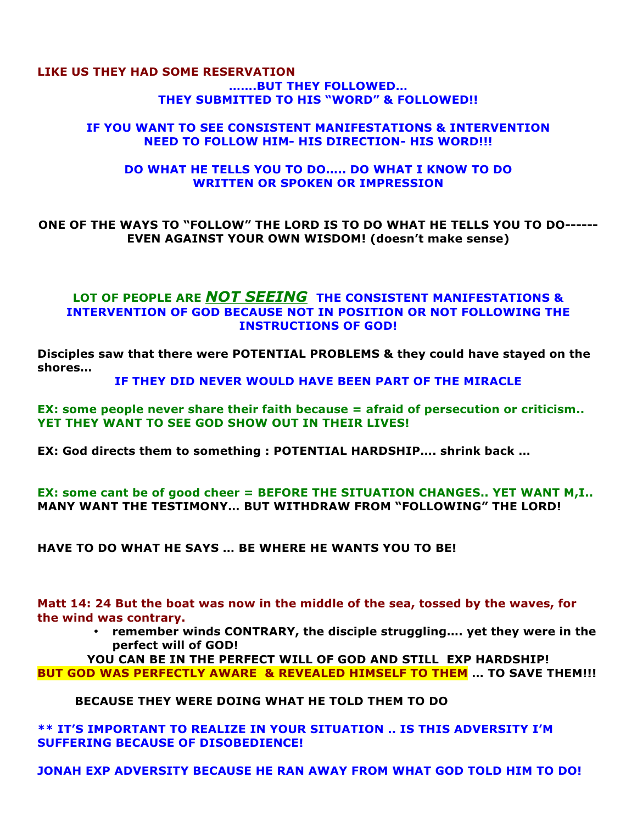### **LIKE US THEY HAD SOME RESERVATION …….BUT THEY FOLLOWED… THEY SUBMITTED TO HIS "WORD" & FOLLOWED!!**

### **IF YOU WANT TO SEE CONSISTENT MANIFESTATIONS & INTERVENTION NEED TO FOLLOW HIM- HIS DIRECTION- HIS WORD!!!**

### **DO WHAT HE TELLS YOU TO DO….. DO WHAT I KNOW TO DO WRITTEN OR SPOKEN OR IMPRESSION**

**ONE OF THE WAYS TO "FOLLOW" THE LORD IS TO DO WHAT HE TELLS YOU TO DO------ EVEN AGAINST YOUR OWN WISDOM! (doesn't make sense)**

# **LOT OF PEOPLE ARE** *NOT SEEING* **THE CONSISTENT MANIFESTATIONS & INTERVENTION OF GOD BECAUSE NOT IN POSITION OR NOT FOLLOWING THE INSTRUCTIONS OF GOD!**

**Disciples saw that there were POTENTIAL PROBLEMS & they could have stayed on the shores…** 

**IF THEY DID NEVER WOULD HAVE BEEN PART OF THE MIRACLE**

**EX: some people never share their faith because = afraid of persecution or criticism.. YET THEY WANT TO SEE GOD SHOW OUT IN THEIR LIVES!**

**EX: God directs them to something : POTENTIAL HARDSHIP…. shrink back …**

**EX: some cant be of good cheer = BEFORE THE SITUATION CHANGES.. YET WANT M,I.. MANY WANT THE TESTIMONY… BUT WITHDRAW FROM "FOLLOWING" THE LORD!**

**HAVE TO DO WHAT HE SAYS … BE WHERE HE WANTS YOU TO BE!**

**Matt 14: 24 But the boat was now in the middle of the sea, tossed by the waves, for the wind was contrary.** 

> • **remember winds CONTRARY, the disciple struggling…. yet they were in the perfect will of GOD!**

**YOU CAN BE IN THE PERFECT WILL OF GOD AND STILL EXP HARDSHIP! BUT GOD WAS PERFECTLY AWARE & REVEALED HIMSELF TO THEM … TO SAVE THEM!!!**

**BECAUSE THEY WERE DOING WHAT HE TOLD THEM TO DO**

**\*\* IT'S IMPORTANT TO REALIZE IN YOUR SITUATION .. IS THIS ADVERSITY I'M SUFFERING BECAUSE OF DISOBEDIENCE!**

**JONAH EXP ADVERSITY BECAUSE HE RAN AWAY FROM WHAT GOD TOLD HIM TO DO!**